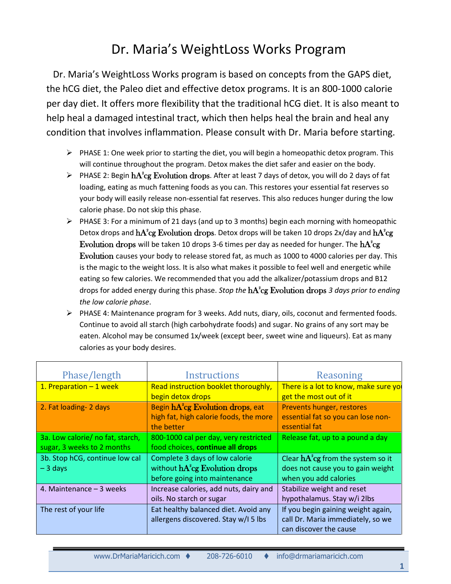## Dr. Maria's WeightLoss Works Program

Dr. Maria's WeightLoss Works program is based on concepts from the GAPS diet, the hCG diet, the Paleo diet and effective detox programs. It is an 800-1000 calorie per day diet. It offers more flexibility that the traditional hCG diet. It is also meant to help heal a damaged intestinal tract, which then helps heal the brain and heal any condition that involves inflammation. Please consult with Dr. Maria before starting.

- $\triangleright$  PHASE 1: One week prior to starting the diet, you will begin a homeopathic detox program. This will continue throughout the program. Detox makes the diet safer and easier on the body.
- $\triangleright$  PHASE 2: Begin  $hA^2cg$  Evolution drops. After at least 7 days of detox, you will do 2 days of fat loading, eating as much fattening foods as you can. This restores your essential fat reserves so your body will easily release non-essential fat reserves. This also reduces hunger during the low calorie phase. Do not skip this phase.
- $\triangleright$  PHASE 3: For a minimum of 21 days (and up to 3 months) begin each morning with homeopathic Detox drops and  $\text{hA}^2$ cg Evolution drops. Detox drops will be taken 10 drops 2x/day and  $\text{hA}^2$ cg  ${\rm Evolution\ drops}$  will be taken 10 drops 3-6 times per day as needed for hunger. The  ${\rm hA^2}$ cg Evolution causes your body to release stored fat, as much as 1000 to 4000 calories per day. This is the magic to the weight loss. It is also what makes it possible to feel well and energetic while eating so few calories. We recommended that you add the alkalizer/potassium drops and B12 drops for added energy during this phase. *Stop the* hA<sup>2</sup> cg Evolution drops *3 days prior to ending the low calorie phase*.
- $\triangleright$  PHASE 4: Maintenance program for 3 weeks. Add nuts, diary, oils, coconut and fermented foods. Continue to avoid all starch (high carbohydrate foods) and sugar. No grains of any sort may be eaten. Alcohol may be consumed 1x/week (except beer, sweet wine and liqueurs). Eat as many calories as your body desires.

| Phase/length                     | <b>Instructions</b>                           | Reasoning                            |
|----------------------------------|-----------------------------------------------|--------------------------------------|
| 1. Preparation $-1$ week         | Read instruction booklet thoroughly,          | There is a lot to know, make sure yo |
|                                  | begin detox drops                             | get the most out of it               |
| 2. Fat loading- 2 days           | Begin hA <sup>2</sup> cg Evolution drops, eat | Prevents hunger, restores            |
|                                  | high fat, high calorie foods, the more        | essential fat so you can lose non-   |
|                                  | the better                                    | essential fat                        |
| 3a. Low calorie/ no fat, starch, | 800-1000 cal per day, very restricted         | Release fat, up to a pound a day     |
| sugar, 3 weeks to 2 months       | food choices, continue all drops              |                                      |
| 3b. Stop hCG, continue low cal   | Complete 3 days of low calorie                | Clear $hA^2cg$ from the system so it |
| $-3$ days                        | without hA <sup>2</sup> cg Evolution drops    | does not cause you to gain weight    |
|                                  | before going into maintenance                 | when you add calories                |
| 4. Maintenance - 3 weeks         | Increase calories, add nuts, dairy and        | Stabilize weight and reset           |
|                                  | oils. No starch or sugar                      | hypothalamus. Stay w/i 2lbs          |
| The rest of your life            | Eat healthy balanced diet. Avoid any          | If you begin gaining weight again,   |
|                                  | allergens discovered. Stay w/I 5 lbs          | call Dr. Maria immediately, so we    |
|                                  |                                               | can discover the cause               |